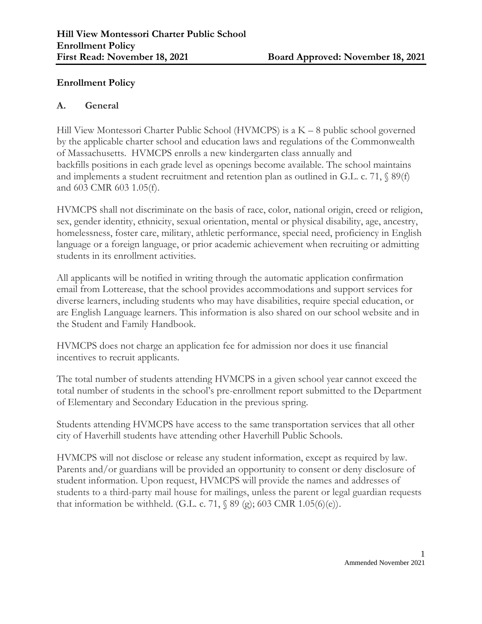### **Enrollment Policy**

#### **A. General**

Hill View Montessori Charter Public School (HVMCPS) is a K – 8 public school governed by the applicable charter school and education laws and regulations of the Commonwealth of Massachusetts. HVMCPS enrolls a new kindergarten class annually and backfills positions in each grade level as openings become available. The school maintains and implements a student recruitment and retention plan as outlined in G.L. c. 71,  $\S$  89(f) and 603 CMR 603 1.05(f).

HVMCPS shall not discriminate on the basis of race, color, national origin, creed or religion, sex, gender identity, ethnicity, sexual orientation, mental or physical disability, age, ancestry, homelessness, foster care, military, athletic performance, special need, proficiency in English language or a foreign language, or prior academic achievement when recruiting or admitting students in its enrollment activities.

All applicants will be notified in writing through the automatic application confirmation email from Lotterease, that the school provides accommodations and support services for diverse learners, including students who may have disabilities, require special education, or are English Language learners. This information is also shared on our school website and in the Student and Family Handbook.

HVMCPS does not charge an application fee for admission nor does it use financial incentives to recruit applicants.

The total number of students attending HVMCPS in a given school year cannot exceed the total number of students in the school's pre-enrollment report submitted to the Department of Elementary and Secondary Education in the previous spring.

Students attending HVMCPS have access to the same transportation services that all other city of Haverhill students have attending other Haverhill Public Schools.

HVMCPS will not disclose or release any student information, except as required by law. Parents and/or guardians will be provided an opportunity to consent or deny disclosure of student information. Upon request, HVMCPS will provide the names and addresses of students to a third-party mail house for mailings, unless the parent or legal guardian requests that information be withheld. (G.L. c. 71,  $\S$  89 (g); 603 CMR 1.05(6)(e)).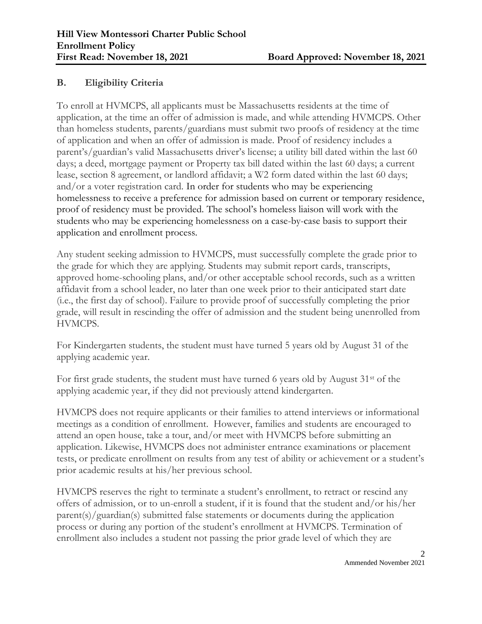# **B. Eligibility Criteria**

To enroll at HVMCPS, all applicants must be Massachusetts residents at the time of application, at the time an offer of admission is made, and while attending HVMCPS. Other than homeless students, parents/guardians must submit two proofs of residency at the time of application and when an offer of admission is made. Proof of residency includes a parent's/guardian's valid Massachusetts driver's license; a utility bill dated within the last 60 days; a deed, mortgage payment or Property tax bill dated within the last 60 days; a current lease, section 8 agreement, or landlord affidavit; a W2 form dated within the last 60 days; and/or a voter registration card. In order for students who may be experiencing homelessness to receive a preference for admission based on current or temporary residence, proof of residency must be provided. The school's homeless liaison will work with the students who may be experiencing homelessness on a case-by-case basis to support their application and enrollment process.

Any student seeking admission to HVMCPS, must successfully complete the grade prior to the grade for which they are applying. Students may submit report cards, transcripts, approved home-schooling plans, and/or other acceptable school records, such as a written affidavit from a school leader, no later than one week prior to their anticipated start date (i.e., the first day of school). Failure to provide proof of successfully completing the prior grade, will result in rescinding the offer of admission and the student being unenrolled from HVMCPS.

For Kindergarten students, the student must have turned 5 years old by August 31 of the applying academic year.

For first grade students, the student must have turned 6 years old by August 31st of the applying academic year, if they did not previously attend kindergarten.

HVMCPS does not require applicants or their families to attend interviews or informational meetings as a condition of enrollment. However, families and students are encouraged to attend an open house, take a tour, and/or meet with HVMCPS before submitting an application. Likewise, HVMCPS does not administer entrance examinations or placement tests, or predicate enrollment on results from any test of ability or achievement or a student's prior academic results at his/her previous school.

HVMCPS reserves the right to terminate a student's enrollment, to retract or rescind any offers of admission, or to un-enroll a student, if it is found that the student and/or his/her parent(s)/guardian(s) submitted false statements or documents during the application process or during any portion of the student's enrollment at HVMCPS. Termination of enrollment also includes a student not passing the prior grade level of which they are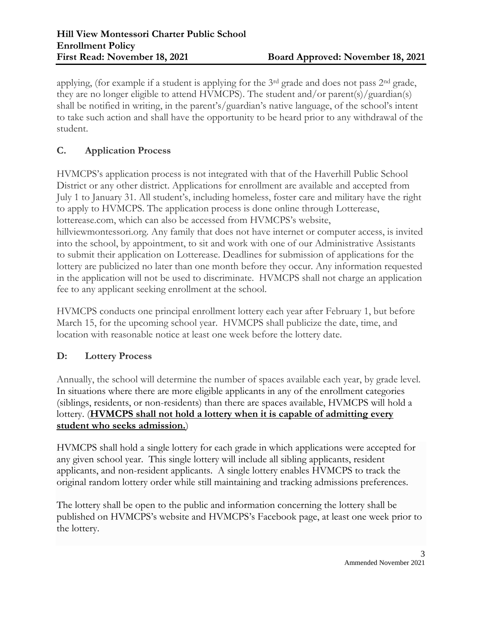applying, (for example if a student is applying for the 3<sup>rd</sup> grade and does not pass 2<sup>nd</sup> grade, they are no longer eligible to attend HVMCPS). The student and/or parent(s)/guardian(s) shall be notified in writing, in the parent's/guardian's native language, of the school's intent to take such action and shall have the opportunity to be heard prior to any withdrawal of the student.

# **C. Application Process**

HVMCPS's application process is not integrated with that of the Haverhill Public School District or any other district. Applications for enrollment are available and accepted from July 1 to January 31. All student's, including homeless, foster care and military have the right to apply to HVMCPS. The application process is done online through Lotterease, lotterease.com, which can also be accessed from HVMCPS's website, hillviewmontessori.org. Any family that does not have internet or computer access, is invited into the school, by appointment, to sit and work with one of our Administrative Assistants to submit their application on Lotterease. Deadlines for submission of applications for the lottery are publicized no later than one month before they occur. Any information requested in the application will not be used to discriminate. HVMCPS shall not charge an application fee to any applicant seeking enrollment at the school.

HVMCPS conducts one principal enrollment lottery each year after February 1, but before March 15, for the upcoming school year. HVMCPS shall publicize the date, time, and location with reasonable notice at least one week before the lottery date.

### **D: Lottery Process**

Annually, the school will determine the number of spaces available each year, by grade level. In situations where there are more eligible applicants in any of the enrollment categories (siblings, residents, or non-residents) than there are spaces available, HVMCPS will hold a lottery. (**HVMCPS shall not hold a lottery when it is capable of admitting every student who seeks admission.**)

HVMCPS shall hold a single lottery for each grade in which applications were accepted for any given school year. This single lottery will include all sibling applicants, resident applicants, and non-resident applicants. A single lottery enables HVMCPS to track the original random lottery order while still maintaining and tracking admissions preferences.

The lottery shall be open to the public and information concerning the lottery shall be published on HVMCPS's website and HVMCPS's Facebook page, at least one week prior to the lottery.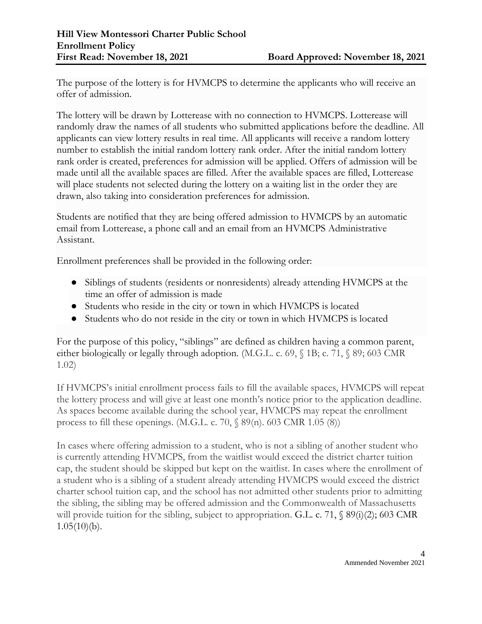The purpose of the lottery is for HVMCPS to determine the applicants who will receive an offer of admission.

The lottery will be drawn by Lotterease with no connection to HVMCPS. Lotterease will randomly draw the names of all students who submitted applications before the deadline. All applicants can view lottery results in real time. All applicants will receive a random lottery number to establish the initial random lottery rank order. After the initial random lottery rank order is created, preferences for admission will be applied. Offers of admission will be made until all the available spaces are filled. After the available spaces are filled, Lotterease will place students not selected during the lottery on a waiting list in the order they are drawn, also taking into consideration preferences for admission.

Students are notified that they are being offered admission to HVMCPS by an automatic email from Lotterease, a phone call and an email from an HVMCPS Administrative Assistant.

Enrollment preferences shall be provided in the following order:

- Siblings of students (residents or nonresidents) already attending HVMCPS at the time an offer of admission is made
- Students who reside in the city or town in which HVMCPS is located
- Students who do not reside in the city or town in which HVMCPS is located

For the purpose of this policy, "siblings" are defined as children having a common parent, either biologically or legally through adoption. (M.G.L. c. 69, § 1B; c. 71, § 89; 603 CMR 1.02)

If HVMCPS's initial enrollment process fails to fill the available spaces, HVMCPS will repeat the lottery process and will give at least one month's notice prior to the application deadline. As spaces become available during the school year, HVMCPS may repeat the enrollment process to fill these openings. (M.G.L. c. 70,  $\S$  89(n). 603 CMR 1.05 (8))

In cases where offering admission to a student, who is not a sibling of another student who is currently attending HVMCPS, from the waitlist would exceed the district charter tuition cap, the student should be skipped but kept on the waitlist. In cases where the enrollment of a student who is a sibling of a student already attending HVMCPS would exceed the district charter school tuition cap, and the school has not admitted other students prior to admitting the sibling, the sibling may be offered admission and the Commonwealth of Massachusetts will provide tuition for the sibling, subject to appropriation. G.L. c. 71, § 89(i)(2); 603 CMR  $1.05(10)(b)$ .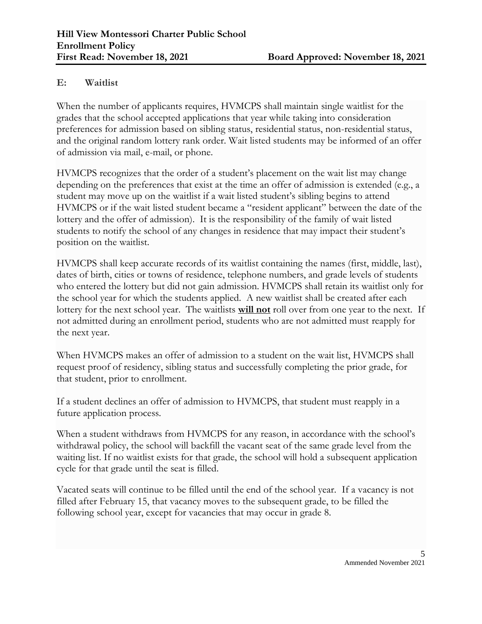### **E: Waitlist**

When the number of applicants requires, HVMCPS shall maintain single waitlist for the grades that the school accepted applications that year while taking into consideration preferences for admission based on sibling status, residential status, non-residential status, and the original random lottery rank order. Wait listed students may be informed of an offer of admission via mail, e-mail, or phone.

HVMCPS recognizes that the order of a student's placement on the wait list may change depending on the preferences that exist at the time an offer of admission is extended (e.g., a student may move up on the waitlist if a wait listed student's sibling begins to attend HVMCPS or if the wait listed student became a "resident applicant" between the date of the lottery and the offer of admission). It is the responsibility of the family of wait listed students to notify the school of any changes in residence that may impact their student's position on the waitlist.

HVMCPS shall keep accurate records of its waitlist containing the names (first, middle, last), dates of birth, cities or towns of residence, telephone numbers, and grade levels of students who entered the lottery but did not gain admission. HVMCPS shall retain its waitlist only for the school year for which the students applied. A new waitlist shall be created after each lottery for the next school year. The waitlists **will not** roll over from one year to the next. If not admitted during an enrollment period, students who are not admitted must reapply for the next year.

When HVMCPS makes an offer of admission to a student on the wait list, HVMCPS shall request proof of residency, sibling status and successfully completing the prior grade, for that student, prior to enrollment.

If a student declines an offer of admission to HVMCPS, that student must reapply in a future application process.

When a student withdraws from HVMCPS for any reason, in accordance with the school's withdrawal policy, the school will backfill the vacant seat of the same grade level from the waiting list. If no waitlist exists for that grade, the school will hold a subsequent application cycle for that grade until the seat is filled.

Vacated seats will continue to be filled until the end of the school year. If a vacancy is not filled after February 15, that vacancy moves to the subsequent grade, to be filled the following school year, except for vacancies that may occur in grade 8.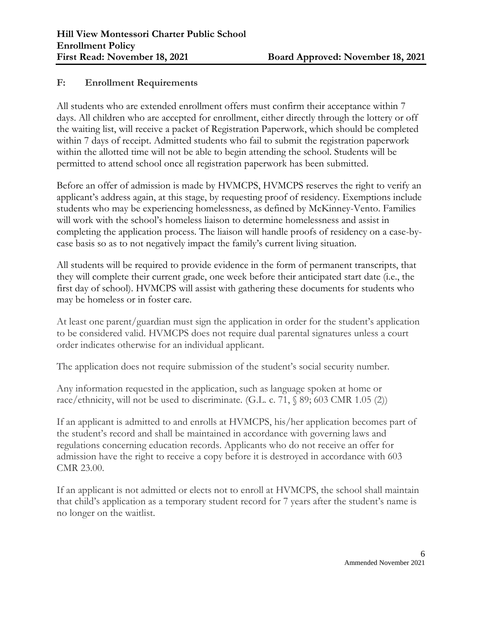### **F: Enrollment Requirements**

All students who are extended enrollment offers must confirm their acceptance within 7 days. All children who are accepted for enrollment, either directly through the lottery or off the waiting list, will receive a packet of Registration Paperwork, which should be completed within 7 days of receipt. Admitted students who fail to submit the registration paperwork within the allotted time will not be able to begin attending the school. Students will be permitted to attend school once all registration paperwork has been submitted.

Before an offer of admission is made by HVMCPS, HVMCPS reserves the right to verify an applicant's address again, at this stage, by requesting proof of residency. Exemptions include students who may be experiencing homelessness, as defined by McKinney-Vento. Families will work with the school's homeless liaison to determine homelessness and assist in completing the application process. The liaison will handle proofs of residency on a case-bycase basis so as to not negatively impact the family's current living situation.

All students will be required to provide evidence in the form of permanent transcripts, that they will complete their current grade, one week before their anticipated start date (i.e., the first day of school). HVMCPS will assist with gathering these documents for students who may be homeless or in foster care.

At least one parent/guardian must sign the application in order for the student's application to be considered valid. HVMCPS does not require dual parental signatures unless a court order indicates otherwise for an individual applicant.

The application does not require submission of the student's social security number.

Any information requested in the application, such as language spoken at home or race/ethnicity, will not be used to discriminate. (G.L. c. 71,  $\S$  89; 603 CMR 1.05 (2))

If an applicant is admitted to and enrolls at HVMCPS, his/her application becomes part of the student's record and shall be maintained in accordance with governing laws and regulations concerning education records. Applicants who do not receive an offer for admission have the right to receive a copy before it is destroyed in accordance with 603 CMR 23.00.

If an applicant is not admitted or elects not to enroll at HVMCPS, the school shall maintain that child's application as a temporary student record for 7 years after the student's name is no longer on the waitlist.